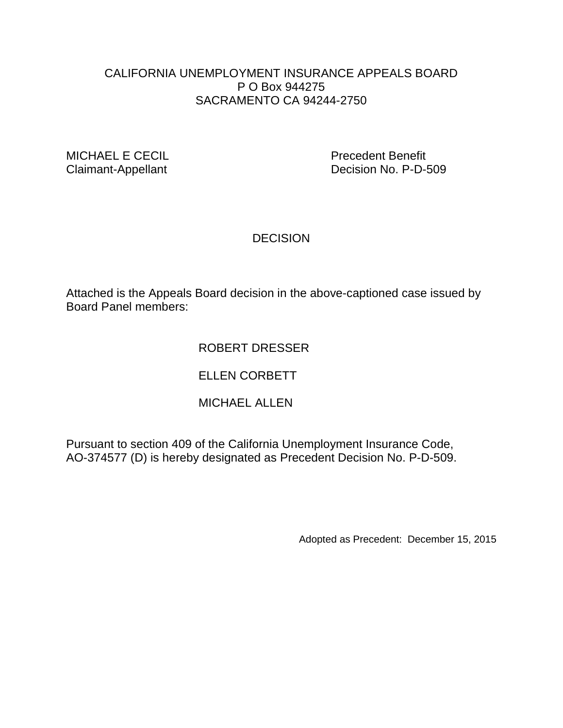### CALIFORNIA UNEMPLOYMENT INSURANCE APPEALS BOARD P O Box 944275 SACRAMENTO CA 94244-2750

MICHAEL E CECIL **Precedent Benefit** 

Claimant-Appellant Decision No. P-D-509

### **DECISION**

Attached is the Appeals Board decision in the above-captioned case issued by Board Panel members:

## ROBERT DRESSER

## ELLEN CORBETT

## MICHAEL ALLEN

Pursuant to section 409 of the California Unemployment Insurance Code, AO-374577 (D) is hereby designated as Precedent Decision No. P-D-509.

Adopted as Precedent: December 15, 2015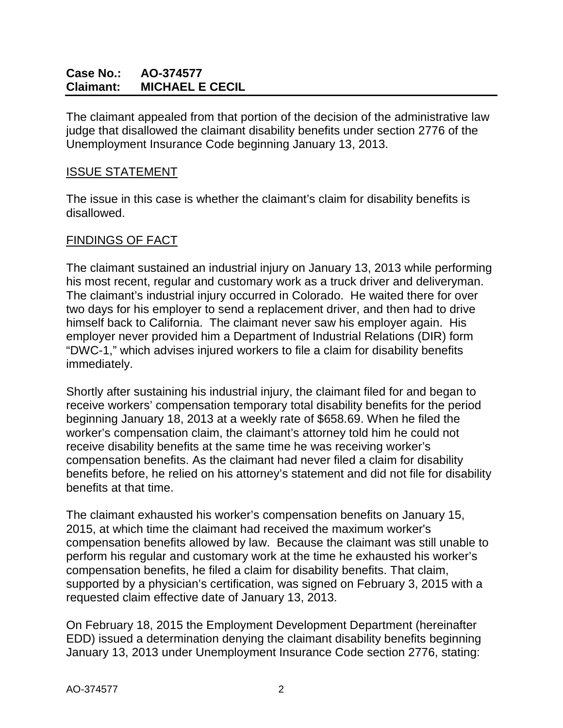## **Case No.: AO-374577 Claimant: MICHAEL E CECIL**

The claimant appealed from that portion of the decision of the administrative law judge that disallowed the claimant disability benefits under section 2776 of the Unemployment Insurance Code beginning January 13, 2013.

#### ISSUE STATEMENT

The issue in this case is whether the claimant's claim for disability benefits is disallowed.

#### FINDINGS OF FACT

The claimant sustained an industrial injury on January 13, 2013 while performing his most recent, regular and customary work as a truck driver and deliveryman. The claimant's industrial injury occurred in Colorado. He waited there for over two days for his employer to send a replacement driver, and then had to drive himself back to California. The claimant never saw his employer again. His employer never provided him a Department of Industrial Relations (DIR) form "DWC-1," which advises injured workers to file a claim for disability benefits immediately.

Shortly after sustaining his industrial injury, the claimant filed for and began to receive workers' compensation temporary total disability benefits for the period beginning January 18, 2013 at a weekly rate of \$658.69. When he filed the worker's compensation claim, the claimant's attorney told him he could not receive disability benefits at the same time he was receiving worker's compensation benefits. As the claimant had never filed a claim for disability benefits before, he relied on his attorney's statement and did not file for disability benefits at that time.

The claimant exhausted his worker's compensation benefits on January 15, 2015, at which time the claimant had received the maximum worker's compensation benefits allowed by law. Because the claimant was still unable to perform his regular and customary work at the time he exhausted his worker's compensation benefits, he filed a claim for disability benefits. That claim, supported by a physician's certification, was signed on February 3, 2015 with a requested claim effective date of January 13, 2013.

On February 18, 2015 the Employment Development Department (hereinafter EDD) issued a determination denying the claimant disability benefits beginning January 13, 2013 under Unemployment Insurance Code section 2776, stating: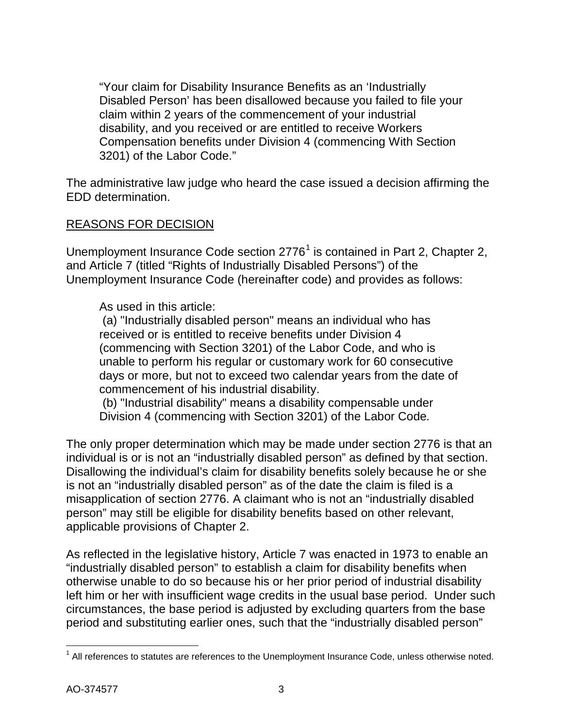"Your claim for Disability Insurance Benefits as an 'Industrially Disabled Person' has been disallowed because you failed to file your claim within 2 years of the commencement of your industrial disability, and you received or are entitled to receive Workers Compensation benefits under Division 4 (commencing With Section 3201) of the Labor Code."

The administrative law judge who heard the case issued a decision affirming the EDD determination.

### REASONS FOR DECISION

Unemployment Insurance Code section  $2776<sup>1</sup>$  $2776<sup>1</sup>$  $2776<sup>1</sup>$  is contained in Part 2, Chapter 2, and Article 7 (titled "Rights of Industrially Disabled Persons") of the Unemployment Insurance Code (hereinafter code) and provides as follows:

As used in this article:

(a) "Industrially disabled person" means an individual who has received or is entitled to receive benefits under Division 4 (commencing with Section 3201) of the Labor Code, and who is unable to perform his regular or customary work for 60 consecutive days or more, but not to exceed two calendar years from the date of commencement of his industrial disability.

(b) "Industrial disability" means a disability compensable under Division 4 (commencing with Section 3201) of the Labor Code*.*

The only proper determination which may be made under section 2776 is that an individual is or is not an "industrially disabled person" as defined by that section. Disallowing the individual's claim for disability benefits solely because he or she is not an "industrially disabled person" as of the date the claim is filed is a misapplication of section 2776. A claimant who is not an "industrially disabled person" may still be eligible for disability benefits based on other relevant, applicable provisions of Chapter 2.

As reflected in the legislative history, Article 7 was enacted in 1973 to enable an "industrially disabled person" to establish a claim for disability benefits when otherwise unable to do so because his or her prior period of industrial disability left him or her with insufficient wage credits in the usual base period. Under such circumstances, the base period is adjusted by excluding quarters from the base period and substituting earlier ones, such that the "industrially disabled person"

<span id="page-2-0"></span> $\overline{\phantom{a}}$  $1$  All references to statutes are references to the Unemployment Insurance Code, unless otherwise noted.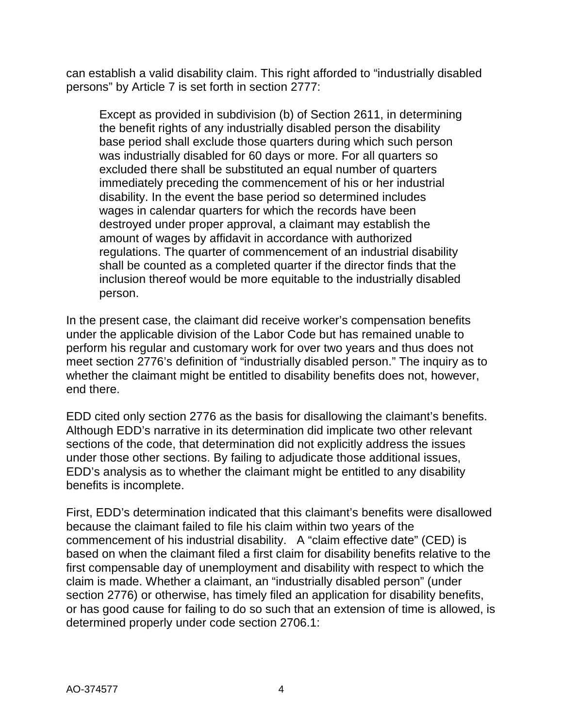can establish a valid disability claim. This right afforded to "industrially disabled persons" by Article 7 is set forth in section 2777:

Except as provided in subdivision (b) of Section 2611, in determining the benefit rights of any industrially disabled person the disability base period shall exclude those quarters during which such person was industrially disabled for 60 days or more. For all quarters so excluded there shall be substituted an equal number of quarters immediately preceding the commencement of his or her industrial disability. In the event the base period so determined includes wages in calendar quarters for which the records have been destroyed under proper approval, a claimant may establish the amount of wages by affidavit in accordance with authorized regulations. The quarter of commencement of an industrial disability shall be counted as a completed quarter if the director finds that the inclusion thereof would be more equitable to the industrially disabled person.

In the present case, the claimant did receive worker's compensation benefits under the applicable division of the Labor Code but has remained unable to perform his regular and customary work for over two years and thus does not meet section 2776's definition of "industrially disabled person." The inquiry as to whether the claimant might be entitled to disability benefits does not, however, end there.

EDD cited only section 2776 as the basis for disallowing the claimant's benefits. Although EDD's narrative in its determination did implicate two other relevant sections of the code, that determination did not explicitly address the issues under those other sections. By failing to adjudicate those additional issues, EDD's analysis as to whether the claimant might be entitled to any disability benefits is incomplete.

First, EDD's determination indicated that this claimant's benefits were disallowed because the claimant failed to file his claim within two years of the commencement of his industrial disability. A "claim effective date" (CED) is based on when the claimant filed a first claim for disability benefits relative to the first compensable day of unemployment and disability with respect to which the claim is made. Whether a claimant, an "industrially disabled person" (under section 2776) or otherwise, has timely filed an application for disability benefits, or has good cause for failing to do so such that an extension of time is allowed, is determined properly under code section 2706.1: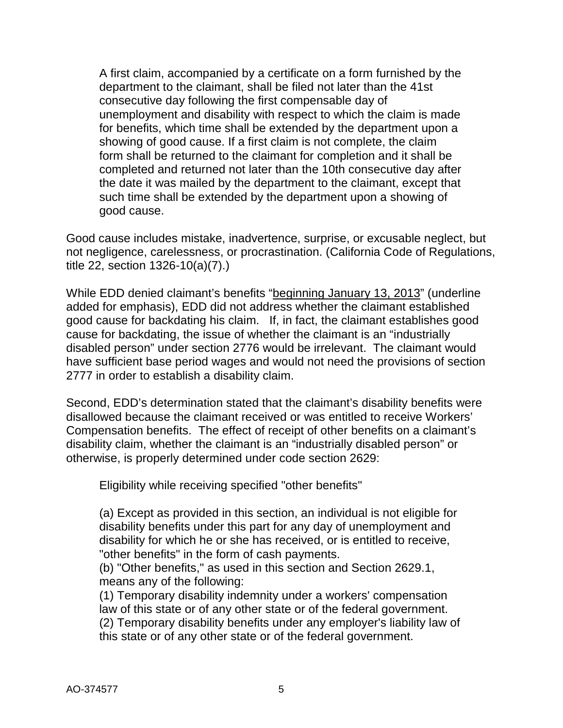A first claim, accompanied by a certificate on a form furnished by the department to the claimant, shall be filed not later than the 41st consecutive day following the first compensable day of unemployment and disability with respect to which the claim is made for benefits, which time shall be extended by the department upon a showing of good cause. If a first claim is not complete, the claim form shall be returned to the claimant for completion and it shall be completed and returned not later than the 10th consecutive day after the date it was mailed by the department to the claimant, except that such time shall be extended by the department upon a showing of good cause.

Good cause includes mistake, inadvertence, surprise, or excusable neglect, but not negligence, carelessness, or procrastination. (California Code of Regulations, title 22, section 1326-10(a)(7).)

While EDD denied claimant's benefits "beginning January 13, 2013" (underline added for emphasis), EDD did not address whether the claimant established good cause for backdating his claim. If, in fact, the claimant establishes good cause for backdating, the issue of whether the claimant is an "industrially disabled person" under section 2776 would be irrelevant. The claimant would have sufficient base period wages and would not need the provisions of section 2777 in order to establish a disability claim.

Second, EDD's determination stated that the claimant's disability benefits were disallowed because the claimant received or was entitled to receive Workers' Compensation benefits. The effect of receipt of other benefits on a claimant's disability claim, whether the claimant is an "industrially disabled person" or otherwise, is properly determined under code section 2629:

Eligibility while receiving specified "other benefits"

(a) Except as provided in this section, an individual is not eligible for disability benefits under this part for any day of unemployment and disability for which he or she has received, or is entitled to receive, "other benefits" in the form of cash payments.

(b) "Other benefits," as used in this section and Section 2629.1, means any of the following:

(1) Temporary disability indemnity under a workers' compensation law of this state or of any other state or of the federal government. (2) Temporary disability benefits under any employer's liability law of this state or of any other state or of the federal government.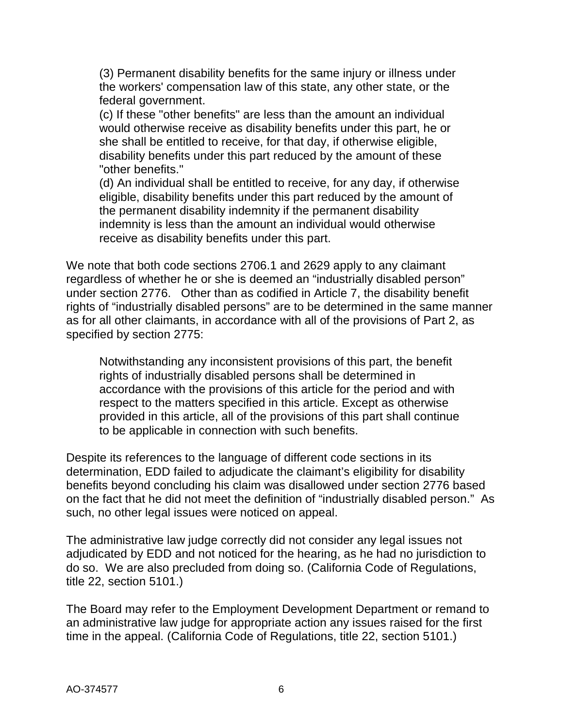(3) Permanent disability benefits for the same injury or illness under the workers' compensation law of this state, any other state, or the federal government.

(c) If these "other benefits" are less than the amount an individual would otherwise receive as disability benefits under this part, he or she shall be entitled to receive, for that day, if otherwise eligible, disability benefits under this part reduced by the amount of these "other benefits."

(d) An individual shall be entitled to receive, for any day, if otherwise eligible, disability benefits under this part reduced by the amount of the permanent disability indemnity if the permanent disability indemnity is less than the amount an individual would otherwise receive as disability benefits under this part.

We note that both code sections 2706.1 and 2629 apply to any claimant regardless of whether he or she is deemed an "industrially disabled person" under section 2776. Other than as codified in Article 7, the disability benefit rights of "industrially disabled persons" are to be determined in the same manner as for all other claimants, in accordance with all of the provisions of Part 2, as specified by section 2775:

Notwithstanding any inconsistent provisions of this part, the benefit rights of industrially disabled persons shall be determined in accordance with the provisions of this article for the period and with respect to the matters specified in this article. Except as otherwise provided in this article, all of the provisions of this part shall continue to be applicable in connection with such benefits.

Despite its references to the language of different code sections in its determination, EDD failed to adjudicate the claimant's eligibility for disability benefits beyond concluding his claim was disallowed under section 2776 based on the fact that he did not meet the definition of "industrially disabled person." As such, no other legal issues were noticed on appeal.

The administrative law judge correctly did not consider any legal issues not adjudicated by EDD and not noticed for the hearing, as he had no jurisdiction to do so. We are also precluded from doing so. (California Code of Regulations, title 22, section 5101.)

The Board may refer to the Employment Development Department or remand to an administrative law judge for appropriate action any issues raised for the first time in the appeal. (California Code of Regulations, title 22, section 5101.)